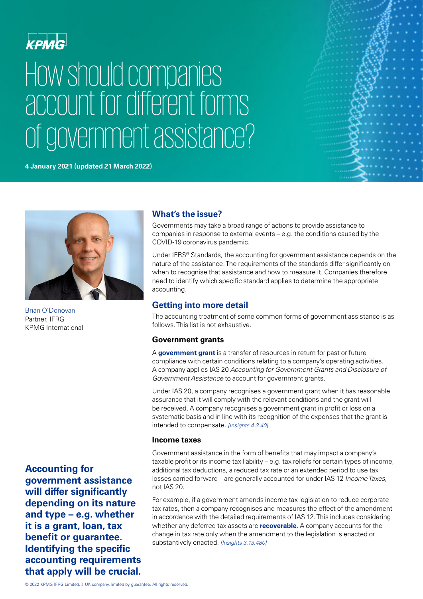

# How should companies account for different forms of government assistance?

#### **4 January 2021 (updated 21 March 2022)**





Brian O'Donovan Partner, IFRG KPMG International

**Accounting for government assistance will differ significantly depending on its nature and type – e.g. whether it is a grant, loan, tax benefit or guarantee. Identifying the specific accounting requirements that apply will be crucial.**

# **What's the issue?**

Governments may take a broad range of actions to provide assistance to companies in response to external events – e.g. the conditions caused by the COVID-19 coronavirus pandemic.

Under IFRS® Standards, the accounting for government assistance depends on the nature of the assistance. The requirements of the standards differ significantly on when to recognise that assistance and how to measure it. Companies therefore need to identify which specific standard applies to determine the appropriate accounting.

# **Getting into more detail**

The accounting treatment of some common forms of government assistance is as follows. This list is not exhaustive.

## **Government grants**

A **[government grant](https://home.kpmg/xx/en/home/insights/2020/03/covid-19-government-assistance-4a.html)** is a transfer of resources in return for past or future compliance with certain conditions relating to a company's operating activities. A company applies IAS 20 *Accounting for Government Grants and Disclosure of Government Assistance* to account for government grants.

Under IAS 20, a company recognises a government grant when it has reasonable assurance that it will comply with the relevant conditions and the grant will be received. A company recognises a government grant in profit or loss on a systematic basis and in line with its recognition of the expenses that the grant is intended to compensate. *[Insights 4.3.40]*

### **Income taxes**

Government assistance in the form of benefits that may impact a company's taxable profit or its income tax liability – e.g. tax reliefs for certain types of income, additional tax deductions, a reduced tax rate or an extended period to use tax losses carried forward – are generally accounted for under IAS 12 *Income Taxes*, not IAS 20.

For example, if a government amends income tax legislation to reduce corporate tax rates, then a company recognises and measures the effect of the amendment in accordance with the detailed requirements of IAS 12. This includes considering whether any deferred tax assets are **[recoverable](https://home.kpmg/xx/en/home/insights/2020/03/covid-19-assets-1c.html)**. A company accounts for the change in tax rate only when the amendment to the legislation is enacted or substantively enacted. *[Insights 3.13.480]*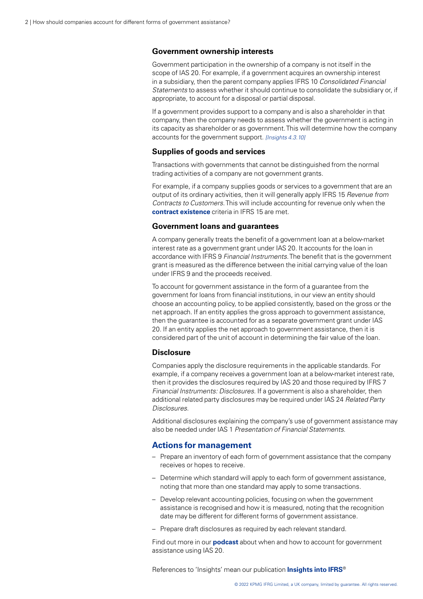#### **Government ownership interests**

Government participation in the ownership of a company is not itself in the scope of IAS 20. For example, if a government acquires an ownership interest in a subsidiary, then the parent company applies IFRS 10 *Consolidated Financial Statements* to assess whether it should continue to consolidate the subsidiary or, if appropriate, to account for a disposal or partial disposal.

If a government provides support to a company and is also a shareholder in that company, then the company needs to assess whether the government is acting in its capacity as shareholder or as government. This will determine how the company accounts for the government support. *[Insights 4.3.10]*

#### **Supplies of goods and services**

Transactions with governments that cannot be distinguished from the normal trading activities of a company are not government grants.

For example, if a company supplies goods or services to a government that are an output of its ordinary activities, then it will generally apply IFRS 15 *Revenue from Contracts to Customers*. This will include accounting for revenue only when the **[contract existence](https://home.kpmg/xx/en/home/insights/2020/03/covid-19-revenue-cycle-07b.html)** criteria in IFRS 15 are met.

#### **Government loans and guarantees**

A company generally treats the benefit of a government loan at a below-market interest rate as a government grant under IAS 20. It accounts for the loan in accordance with IFRS 9 *Financial Instruments*. The benefit that is the government grant is measured as the difference between the initial carrying value of the loan under IFRS 9 and the proceeds received.

To account for government assistance in the form of a guarantee from the government for loans from financial institutions, in our view an entity should choose an accounting policy, to be applied consistently, based on the gross or the net approach. If an entity applies the gross approach to government assistance, then the guarantee is accounted for as a separate government grant under IAS 20. If an entity applies the net approach to government assistance, then it is considered part of the unit of account in determining the fair value of the loan.

#### **Disclosure**

Companies apply the disclosure requirements in the applicable standards. For example, if a company receives a government loan at a below-market interest rate, then it provides the disclosures required by IAS 20 and those required by IFRS 7 *Financial Instruments: Disclosures*. If a government is also a shareholder, then additional related party disclosures may be required under IAS 24 *Related Party Disclosures*.

Additional disclosures explaining the company's use of government assistance may also be needed under IAS 1 *Presentation of Financial Statements*.

#### **Actions for management**

- Prepare an inventory of each form of government assistance that the company receives or hopes to receive.
- Determine which standard will apply to each form of government assistance, noting that more than one standard may apply to some transactions.
- Develop relevant accounting policies, focusing on when the government assistance is recognised and how it is measured, noting that the recognition date may be different for different forms of government assistance.
- Prepare draft disclosures as required by each relevant standard.

Find out more in our **[podcast](https://home.kpmg/xx/en/home/insights/2020/06/ifrstoday-podcast-covid-19-government-assistance.html)** about when and how to account for government assistance using IAS 20.

References to 'Insights' mean our publication **[Insights into IFRS](https://home.kpmg/xx/en/home/services/audit/international-financial-reporting-standards/ifrs-toolkit/ifrs-insights-practical-application-guide.html)**®